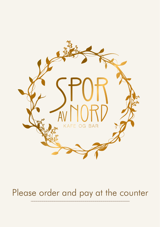

# Please order and pay at the counter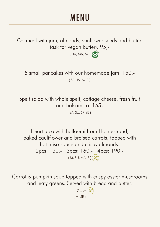## **MENU**

Oatmeal with jam, almonds, sunflower seeds and butter. (ask for vegan butter). 95,-

 $(HA, MA, M)$ 

5 small pancakes with our homemade jam. 150,- ( SP, HA, M, E )

Spelt salad with whole spelt, cottage cheese, fresh fruit and balsamico. 165,-

( M, SU, SP, SE )

Heart taco with halloumi from Holmestrand, baked cauliflower and braised carrots, topped with hot miso sauce and crispy almonds. 2pcs: 130,- 3pcs: 160,- 4pcs: 190,-  $(M, SU, MA, S)$ 

Carrot & pumpkin soup topped with crispy oyster mushrooms and leafy greens. Served with bread and butter.

> $190, -$ ( M, SE )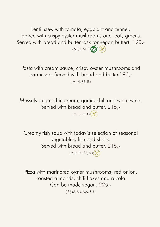Lentil stew with tomato, eggplant and fennel, topped with crispy oyster mushrooms and leafy greens. Served with bread and butter (ask for vegan butter). 190,-  $(S, SE, SU)$ 

Pasta with cream sauce, crispy oyster mushrooms and parmesan. Served with bread and butter.190,-

( M, H, SE, E )

Mussels steamed in cream, garlic, chili and white wine. Served with bread and butter. 215,-

 $(M, BL, SU)$ 

Creamy fish soup with today's selection of seasonal vegetables, fish and shells. Served with bread and butter. 215,- ( M, F, BL, SE, S ) $\left(\right)$ 

Pizza with marinated oyster mushrooms, red onion, roasted almonds, chili flakes and rucola. Can be made vegan. 225,-

( SP, M, SU, MA, SU )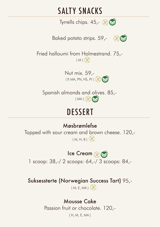### SALTY SNACKS

Tyrrells chips.  $45 - \infty$ 

Baked potato strips. 59,-



Fried halloumi from Holmestrand. 75,-  $(M)$ 

> Nut mix. 59,-  $(P, MA, PN, HS, PI)$

Spanish almonds and olives. 85,-  $(MA)$ 

## **DESSERT**

### Møsbrømlefse

Topped with sour cream and brown cheese. 120,-  $(M, H, B)$ 

### Ice Cream (

1 scoop: 38,-/ 2 scoops: 64,-/ 3 scoops: 84,-

### Suksessterte (Norwegian Success Tart) 95,-

 $(M, E, MA)$  $(X)$ 

### Mousse Cake

Passion fruit or chocolate. 120,-

( H, M, E, MA )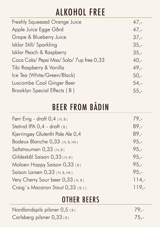# ALKOHOL FREE

| Freshly Squeezed Orange Juice           | $47 -$  |
|-----------------------------------------|---------|
| Apple Juice Egge Gård                   | $47,-$  |
| Grape & Blueberry Juice                 | $37 -$  |
| Isklar Still/Sparkling                  | $35,-$  |
| Isklar Peach & Raspberry                | $35,-$  |
| Coca Cola/ Pepsi Max/Solo/7up free 0,33 | $40,-$  |
| Tibi Raspberry & Vanilla                | $49. -$ |
| Ice Tea (White/Green/Black)             | $50,-$  |
| Luscombe Cool Ginger Beer               | $54,-$  |
| Brooklyn Special Effects (B)            | $55. -$ |

# BEER FROM BÅDIN

| Førr Evig - draft 0,4 (H, B)      | $79,-$   |
|-----------------------------------|----------|
| Stetind IPA 0,4 - draft (B)       | $89,-$   |
| Kjerringøy Glutenfri Pale Ale 0,4 | $89 -$   |
| Bodeux Blanche 0,33 (H, B, HA)    | $95,-$   |
| Saltstraumen $0,33$ (H, B)        | $95 -$   |
| Gildeskål Saison 0,33 (H, B)      | $95 -$   |
| Moloen Hoppy Saison $0,33$ (B)    | $95,-$   |
| Saison Larsen 0,33 (H, B, HA)     | $95,-$   |
| Very Cherry Sour beer 0,33 (H, B) | $114, -$ |
| Craig's Macaron Stout 0,33 (B, L) | $119. -$ |

### OTHER BEERS

| Nordlandspils pilsner 0,5 (B) | $79 -$ |
|-------------------------------|--------|
| Carlsberg pilsner $0,33$ (B)  | $75 -$ |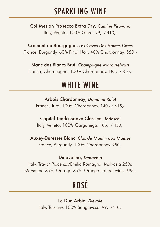### SPARKLING WINE

Col Mesian Prosecco Extra Dry, *Cantine Pirovano*  Italy, Veneto. 100% Glera. 99,- / 410,-

Cremant de Bourgogne, *Les Caves Des Hautes Cotes* France, Burgundy. 60% Pinot Noir, 40% Chardonnay. 550,-

Blanc des Blancs Brut, *Champagne Marc Hebrart*  France, Champagne. 100% Chardonnay. 185,- / 810,-

## WHITE WINE

#### Arbois Chardonnay, *Domaine Rolet*

France, Jura. 100% Chardonnay. 140,- / 615,-

#### Capitel Tenda Soave Classico, *Tedeschi*

Italy, Veneto. 100% Garganega. 105,- / 430,-

#### Auxey-Duresses Blanc, *Clos du Moulin aux Moines*

France, Burgundy. 100% Chardonnay. 950,-

#### Dinavolino, *Denavolo*

Italy, Travo/ Piacenza/Emilia Romagna. Malvasia 25%, Marsanne 25%, Ortrugo 25%. Orange natural wine. 695,-

# ROSÉ

Le Due Arbie, *Dievole*  Italy, Tuscany. 100% Sangiovese. 99,- /410,-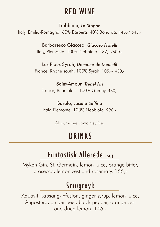## RED WINE

Trebbiolo, *La Stoppa*

Italy, Emilia-Romagna. 60% Barbera, 40% Bonarda. 145,-/ 645,-

Barbaresco Giacosa, *Giacosa Fratelli*  Italy, Piemonte. 100% Nebbiolo. 137,- /600,-

Les Pious Syrah, *Domaine de Dieulefit* France, Rhòne south. 100% Syrah. 105,-/ 430,-

Saint-Amour, *Trenel Fils* France, Beaujolais. 100% Gamay. 480,-

Barolo, *Josetta Saffirio* Italy, Piemonte. 100% Nebbiolo. 990,-

All our wines contain sulfite.

## DRINKS

### Fantastisk Allerede (SU)

Myken Gin, St. Germain, lemon juice, orange bitter, prosecco, lemon zest and rosemary. 155,-

## Smugrøyk

Aquavit, Lapsang-infusion, ginger syrup, lemon juice, Angostura, ginger beer, black pepper, orange zest and dried lemon. 146,-